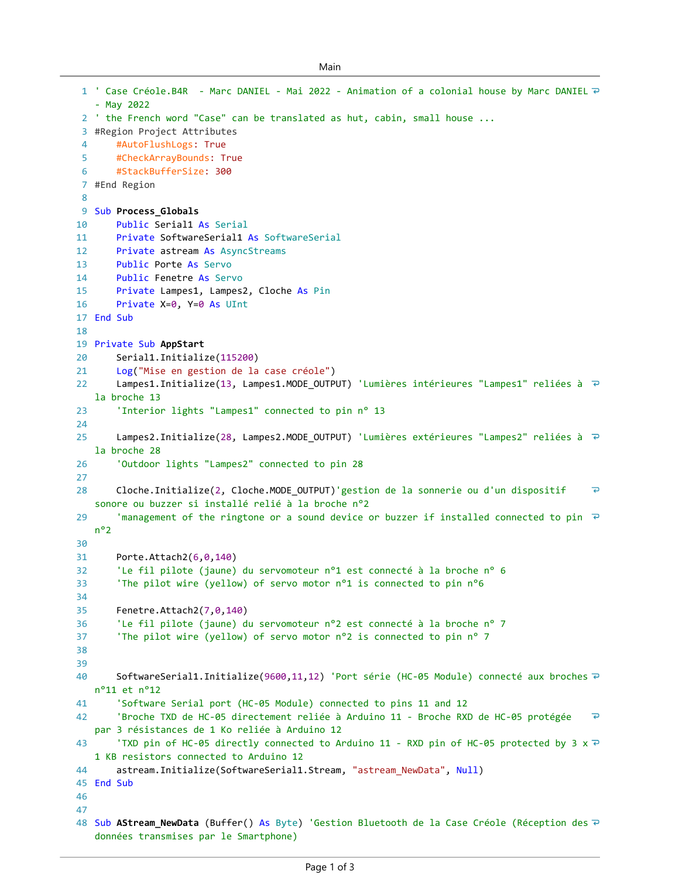```
Main
```

```
' Case Créole.B4R - Marc DANIEL - Mai 2022 - Animation of a colonial house by Marc DANIEL 
1
   - May 2022
 2 ' the French word "Case" can be translated as hut, cabin, small house ...
 #Region Project Attributes
3
 \Delta#AutoFlushLogs: True
 5
       #CheckArrayBounds: True
       #StackBufferSize: 300
 6
 #End Region
7
 8
 9 Sub Process_Globals
10
       Public Serial1 As Serial
       Private SoftwareSerial1 As SoftwareSerial
11
12
       Private astream As AsyncStreams
13
       Public Porte As Servo
14
       Public Fenetre As Servo
15
       Private Lampes1, Lampes2, Cloche As Pin
       Private X=0, Y=0 As UInt
16
17 End Sub
18
19 Private Sub AppStart
20Serial1.Initialize(115200)
21
       Log("Mise en gestion de la case créole")
22
       Lampes1.Initialize(13, Lampes1.MODE_OUTPUT) 'Lumières intérieures "Lampes1" reliées à ₽
   la broche 13
        'Interior lights "Lampes1" connected to pin n° 13
23
24
       Lampes2.Initialize(28, Lampes2.MODE_OUTPUT) 'Lumières extérieures "Lampes2" reliées à ₽
25
   la broche 28
26
        'Outdoor lights "Lampes2" connected to pin 28
27
       Cloche.Initialize(2, Cloche.MODE_OUTPUT)'gestion de la sonnerie ou d'un dispositif 
                                                                                                    \overline{\bullet}28
   sonore ou buzzer si installé relié à la broche n°2
29
        'management of the ringtone or a sound device or buzzer if installed connected to pin \overline{P}n°2
30
31
       Porte.Attach2(6,0,140)
        'Le fil pilote (jaune) du servomoteur n°1 est connecté à la broche n° 6
32
33
        'The pilot wire (yellow) of servo motor n°1 is connected to pin n°6
34
35
       Fenetre.Attach2(7,0,140)
36
        'Le fil pilote (jaune) du servomoteur n°2 est connecté à la broche n° 7
        'The pilot wire (yellow) of servo motor n°2 is connected to pin n° 7
37
38
39
       SoftwareSerial1.Initialize(9600,11,12) 'Port série (HC-05 Module) connecté aux broches \overline{P}40
   n°11 et n°12
        'Software Serial port (HC-05 Module) connected to pins 11 and 12
41
42
        'Broche TXD de HC-05 directement reliée à Arduino 11 - Broche RXD de HC-05 protégée 
                                                                                                    고
   par 3 résistances de 1 Ko reliée à Arduino 12
        'TXD pin of HC-05 directly connected to Arduino 11 - RXD pin of HC-05 protected by 3 \times \overline{C}43
   1 KB resistors connected to Arduino 12
44
       astream.Initialize(SoftwareSerial1.Stream, "astream_NewData", Null)
45 End Sub
46
47
48 Sub <code>AStream_NewData</code> (Buffer() As <code>Byte)</code> 'Gestion Bluetooth de la Case Créole (Réception des \bar{\textit{\i}}données transmises par le Smartphone)
```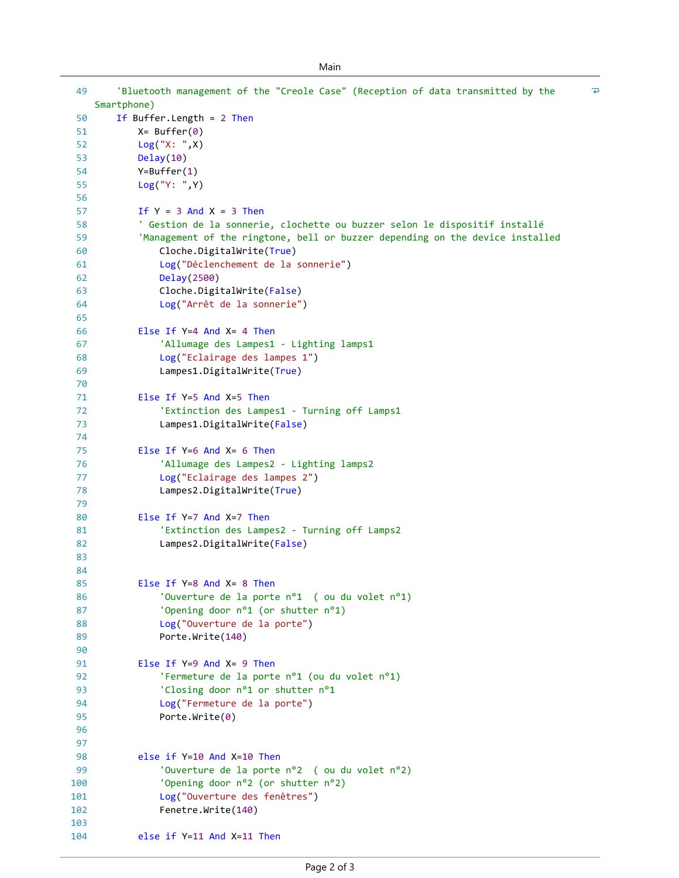| 49         | 'Bluetooth management of the "Creole Case" (Reception of data transmitted by the | $\overline{\bullet}$ |
|------------|----------------------------------------------------------------------------------|----------------------|
| 50         | Smartphone)<br>If Buffer. Length = $2$ Then                                      |                      |
| 51         | $X =$ Buffer $(0)$                                                               |                      |
| 52         | Log("X: ", X)                                                                    |                      |
| 53         | Delay(10)                                                                        |                      |
| 54         | $Y = Buffer(1)$                                                                  |                      |
| 55         | Log("Y: ", Y)                                                                    |                      |
| 56         |                                                                                  |                      |
| 57         | If $Y = 3$ And $X = 3$ Then                                                      |                      |
| 58         | ' Gestion de la sonnerie, clochette ou buzzer selon le dispositif installé       |                      |
| 59         | 'Management of the ringtone, bell or buzzer depending on the device installed    |                      |
| 60         | Cloche.DigitalWrite(True)                                                        |                      |
| 61         | Log("Déclenchement de la sonnerie")                                              |                      |
| 62         | Delay(2500)                                                                      |                      |
| 63         | Cloche.DigitalWrite(False)                                                       |                      |
| 64         | Log("Arrêt de la sonnerie")                                                      |                      |
| 65         |                                                                                  |                      |
| 66         | Else If $Y=4$ And $X=4$ Then                                                     |                      |
| 67         | 'Allumage des Lampes1 - Lighting lamps1                                          |                      |
| 68         | Log("Eclairage des lampes 1")                                                    |                      |
| 69         | Lampes1.DigitalWrite(True)                                                       |                      |
| 70         |                                                                                  |                      |
| 71         | Else If $Y=5$ And $X=5$ Then                                                     |                      |
| 72         | 'Extinction des Lampes1 - Turning off Lamps1                                     |                      |
| 73         | Lampes1.DigitalWrite(False)                                                      |                      |
| 74         |                                                                                  |                      |
| 75         | Else If $Y=6$ And $X=6$ Then                                                     |                      |
| 76         | 'Allumage des Lampes2 - Lighting lamps2                                          |                      |
| 77         | Log("Eclairage des lampes 2")                                                    |                      |
| 78         | Lampes2.DigitalWrite(True)                                                       |                      |
| 79         |                                                                                  |                      |
| 80         | Else If $Y=7$ And $X=7$ Then                                                     |                      |
| 81         | 'Extinction des Lampes2 - Turning off Lamps2                                     |                      |
| 82         | Lampes2.DigitalWrite(False)                                                      |                      |
| 83         |                                                                                  |                      |
| 84         |                                                                                  |                      |
| 85         | Else If $Y=8$ And $X=8$ Then                                                     |                      |
| 86         | 'Ouverture de la porte n°1 ( ou du volet n°1)                                    |                      |
| 87         | 'Opening door n°1 (or shutter n°1)                                               |                      |
| 88         | Log("Ouverture de la porte")                                                     |                      |
| 89         | Porte.Write(140)                                                                 |                      |
| 90         |                                                                                  |                      |
| 91         | Else If $Y=9$ And $X=9$ Then                                                     |                      |
| 92         | 'Fermeture de la porte nº1 (ou du volet nº1)                                     |                      |
| 93         | 'Closing door n°1 or shutter n°1                                                 |                      |
| 94         | Log("Fermeture de la porte")                                                     |                      |
| 95         | Porte.Write $(0)$                                                                |                      |
| 96         |                                                                                  |                      |
| 97         |                                                                                  |                      |
| 98         | else if Y=10 And X=10 Then                                                       |                      |
| 99         | 'Ouverture de la porte n°2 ( ou du volet n°2)                                    |                      |
| 100        | 'Opening door n°2 (or shutter n°2)                                               |                      |
| 101        | Log("Ouverture des fenêtres")<br>Fenetre.Write(140)                              |                      |
| 102<br>103 |                                                                                  |                      |
| 104        | else if Y=11 And X=11 Then                                                       |                      |
|            |                                                                                  |                      |